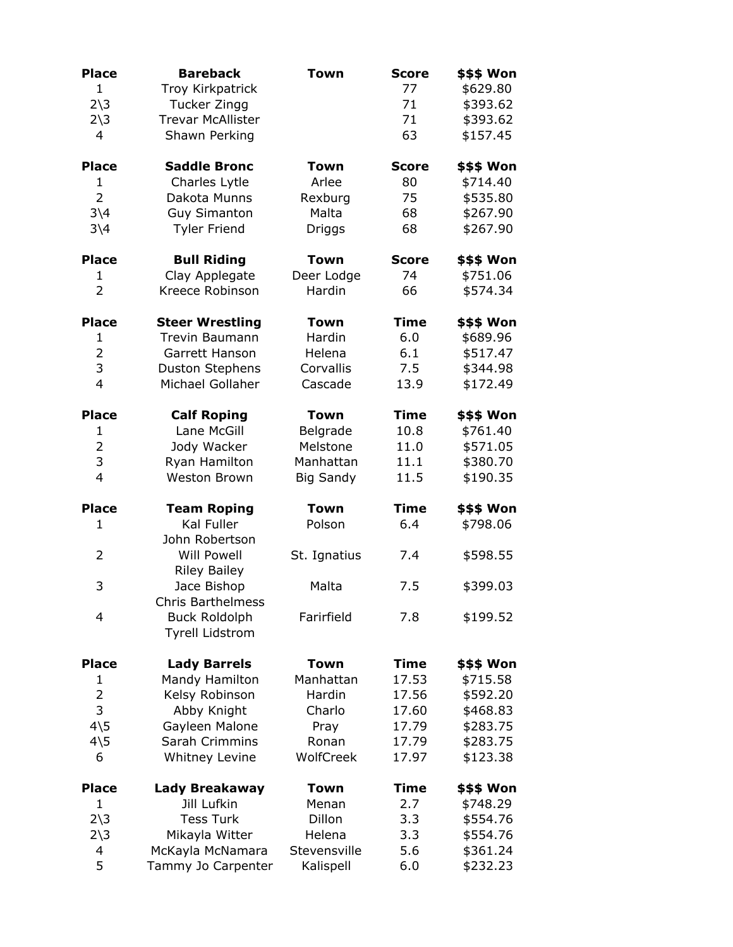| <b>Place</b><br>1<br>$2\overline{\smash)3}$<br>$2\overline{\smash)3}$<br>$\overline{4}$ | <b>Bareback</b><br>Troy Kirkpatrick<br>Tucker Zingg<br><b>Trevar McAllister</b><br>Shawn Perking | <b>Town</b>      | <b>Score</b><br>77<br>71<br>71<br>63 | \$\$\$ Won<br>\$629.80<br>\$393.62<br>\$393.62<br>\$157.45 |
|-----------------------------------------------------------------------------------------|--------------------------------------------------------------------------------------------------|------------------|--------------------------------------|------------------------------------------------------------|
| <b>Place</b>                                                                            | <b>Saddle Bronc</b>                                                                              | <b>Town</b>      | <b>Score</b>                         | \$\$\$ Won                                                 |
| $\mathbf{1}$                                                                            | Charles Lytle                                                                                    | Arlee            | 80                                   | \$714.40                                                   |
| $\overline{2}$                                                                          | Dakota Munns                                                                                     | Rexburg          | 75                                   | \$535.80                                                   |
| $3\backslash4$                                                                          | <b>Guy Simanton</b>                                                                              | Malta            | 68                                   | \$267.90                                                   |
| $3\backslash4$                                                                          | <b>Tyler Friend</b>                                                                              | Driggs           | 68                                   | \$267.90                                                   |
| <b>Place</b>                                                                            | <b>Bull Riding</b>                                                                               | Town             | <b>Score</b>                         | \$\$\$ Won                                                 |
| 1                                                                                       | Clay Applegate                                                                                   | Deer Lodge       | 74                                   | \$751.06                                                   |
| $\overline{2}$                                                                          | Kreece Robinson                                                                                  | Hardin           | 66                                   | \$574.34                                                   |
| <b>Place</b>                                                                            | <b>Steer Wrestling</b>                                                                           | <b>Town</b>      | <b>Time</b>                          | \$\$\$ Won                                                 |
| $\mathbf{1}$                                                                            | <b>Trevin Baumann</b>                                                                            | Hardin           | 6.0                                  | \$689.96                                                   |
| $\overline{2}$                                                                          | Garrett Hanson                                                                                   | Helena           | 6.1                                  | \$517.47                                                   |
| 3                                                                                       | <b>Duston Stephens</b>                                                                           | Corvallis        | 7.5                                  | \$344.98                                                   |
| $\overline{4}$                                                                          | Michael Gollaher                                                                                 | Cascade          | 13.9                                 | \$172.49                                                   |
| <b>Place</b>                                                                            | <b>Calf Roping</b>                                                                               | Town             | <b>Time</b>                          | \$\$\$ Won                                                 |
| $\mathbf{1}$                                                                            | Lane McGill                                                                                      | Belgrade         | 10.8                                 | \$761.40                                                   |
| $\overline{2}$                                                                          | Jody Wacker                                                                                      | Melstone         | 11.0                                 | \$571.05                                                   |
| 3                                                                                       | Ryan Hamilton                                                                                    | Manhattan        | 11.1                                 | \$380.70                                                   |
| $\overline{4}$                                                                          | Weston Brown                                                                                     | <b>Big Sandy</b> | 11.5                                 | \$190.35                                                   |
| <b>Place</b>                                                                            | <b>Team Roping</b>                                                                               | <b>Town</b>      | <b>Time</b>                          | \$\$\$ Won                                                 |
| 1                                                                                       | Kal Fuller                                                                                       | Polson           | 6.4                                  | \$798.06                                                   |
|                                                                                         | John Robertson                                                                                   |                  |                                      |                                                            |
| 2                                                                                       | <b>Will Powell</b>                                                                               | St. Ignatius     | 7.4                                  | \$598.55                                                   |
|                                                                                         | <b>Riley Bailey</b>                                                                              |                  |                                      |                                                            |
| 3                                                                                       | Jace Bishop                                                                                      | Malta            | 7.5                                  | \$399.03                                                   |
|                                                                                         | Chris Barthelmess                                                                                |                  |                                      |                                                            |
| 4                                                                                       | <b>Buck Roldolph</b>                                                                             | Farirfield       | 7.8                                  | \$199.52                                                   |
|                                                                                         | <b>Tyrell Lidstrom</b>                                                                           |                  |                                      |                                                            |
| <b>Place</b>                                                                            | <b>Lady Barrels</b>                                                                              | <b>Town</b>      | <b>Time</b>                          | \$\$\$ Won                                                 |
| $\mathbf{1}$                                                                            | Mandy Hamilton                                                                                   | Manhattan        | 17.53                                | \$715.58                                                   |
| 2                                                                                       | Kelsy Robinson                                                                                   | Hardin           | 17.56                                | \$592.20                                                   |
| 3                                                                                       | Abby Knight                                                                                      | Charlo           | 17.60                                | \$468.83                                                   |
| $4\overline{5}$                                                                         | Gayleen Malone                                                                                   | Pray             | 17.79                                | \$283.75                                                   |
| $4\overline{5}$                                                                         | Sarah Crimmins                                                                                   | Ronan            | 17.79                                | \$283.75                                                   |
| 6                                                                                       | Whitney Levine                                                                                   | WolfCreek        | 17.97                                | \$123.38                                                   |
| <b>Place</b>                                                                            | Lady Breakaway                                                                                   | <b>Town</b>      | <b>Time</b>                          | \$\$\$ Won                                                 |
| 1                                                                                       | Jill Lufkin                                                                                      | Menan            | 2.7                                  | \$748.29                                                   |
| $2\overline{\smash)3}$                                                                  | <b>Tess Turk</b>                                                                                 | Dillon           | 3.3                                  | \$554.76                                                   |
| $2\overline{\smash)3}$                                                                  | Mikayla Witter                                                                                   | Helena           | 3.3                                  | \$554.76                                                   |
| 4                                                                                       | McKayla McNamara                                                                                 | Stevensville     | 5.6                                  | \$361.24                                                   |
| 5                                                                                       | Tammy Jo Carpenter                                                                               | Kalispell        | 6.0                                  | \$232.23                                                   |